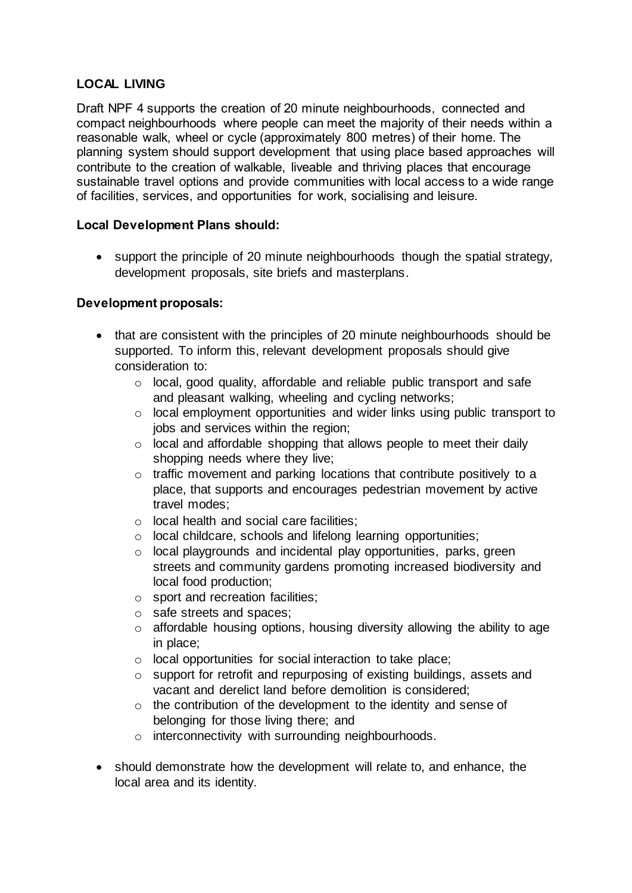# **LOCAL LIVING**

Draft NPF 4 supports the creation of 20 minute neighbourhoods, connected and compact neighbourhoods where people can meet the majority of their needs within a reasonable walk, wheel or cycle (approximately 800 metres) of their home. The planning system should support development that using place based approaches will contribute to the creation of walkable, liveable and thriving places that encourage sustainable travel options and provide communities with local access to a wide range of facilities, services, and opportunities for work, socialising and leisure.

## **Local Development Plans should:**

 support the principle of 20 minute neighbourhoods though the spatial strategy, development proposals, site briefs and masterplans.

## **Development proposals:**

- that are consistent with the principles of 20 minute neighbourhoods should be supported. To inform this, relevant development proposals should give consideration to:
	- o local, good quality, affordable and reliable public transport and safe and pleasant walking, wheeling and cycling networks;
	- o local employment opportunities and wider links using public transport to jobs and services within the region;
	- o local and affordable shopping that allows people to meet their daily shopping needs where they live;
	- o traffic movement and parking locations that contribute positively to a place, that supports and encourages pedestrian movement by active travel modes;
	- o local health and social care facilities;
	- o local childcare, schools and lifelong learning opportunities;
	- o local playgrounds and incidental play opportunities, parks, green streets and community gardens promoting increased biodiversity and local food production;
	- o sport and recreation facilities;
	- o safe streets and spaces;
	- $\circ$  affordable housing options, housing diversity allowing the ability to age in place;
	- o local opportunities for social interaction to take place;
	- o support for retrofit and repurposing of existing buildings, assets and vacant and derelict land before demolition is considered;
	- $\circ$  the contribution of the development to the identity and sense of belonging for those living there; and
	- o interconnectivity with surrounding neighbourhoods.
- should demonstrate how the development will relate to, and enhance, the local area and its identity.